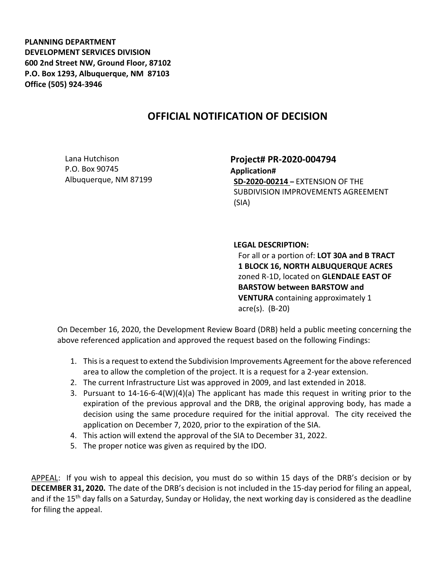**PLANNING DEPARTMENT DEVELOPMENT SERVICES DIVISION 600 2nd Street NW, Ground Floor, 87102 P.O. Box 1293, Albuquerque, NM 87103 Office (505) 924-3946** 

## **OFFICIAL NOTIFICATION OF DECISION**

Lana Hutchison P.O. Box 90745 Albuquerque, NM 87199 **Project# PR-2020-004794 Application# SD-2020-00214 –** EXTENSION OF THE SUBDIVISION IMPROVEMENTS AGREEMENT (SIA)

## **LEGAL DESCRIPTION:**

For all or a portion of: **LOT 30A and B TRACT 1 BLOCK 16, NORTH ALBUQUERQUE ACRES**  zoned R-1D, located on **GLENDALE EAST OF BARSTOW between BARSTOW and VENTURA** containing approximately 1 acre(s). (B-20)

On December 16, 2020, the Development Review Board (DRB) held a public meeting concerning the above referenced application and approved the request based on the following Findings:

- 1. This is a request to extend the Subdivision Improvements Agreement for the above referenced area to allow the completion of the project. It is a request for a 2-year extension.
- 2. The current Infrastructure List was approved in 2009, and last extended in 2018.
- 3. Pursuant to 14-16-6-4(W)(4)(a) The applicant has made this request in writing prior to the expiration of the previous approval and the DRB, the original approving body, has made a decision using the same procedure required for the initial approval. The city received the application on December 7, 2020, prior to the expiration of the SIA.
- 4. This action will extend the approval of the SIA to December 31, 2022.
- 5. The proper notice was given as required by the IDO.

APPEAL: If you wish to appeal this decision, you must do so within 15 days of the DRB's decision or by **DECEMBER 31, 2020.** The date of the DRB's decision is not included in the 15-day period for filing an appeal, and if the 15<sup>th</sup> day falls on a Saturday, Sunday or Holiday, the next working day is considered as the deadline for filing the appeal.